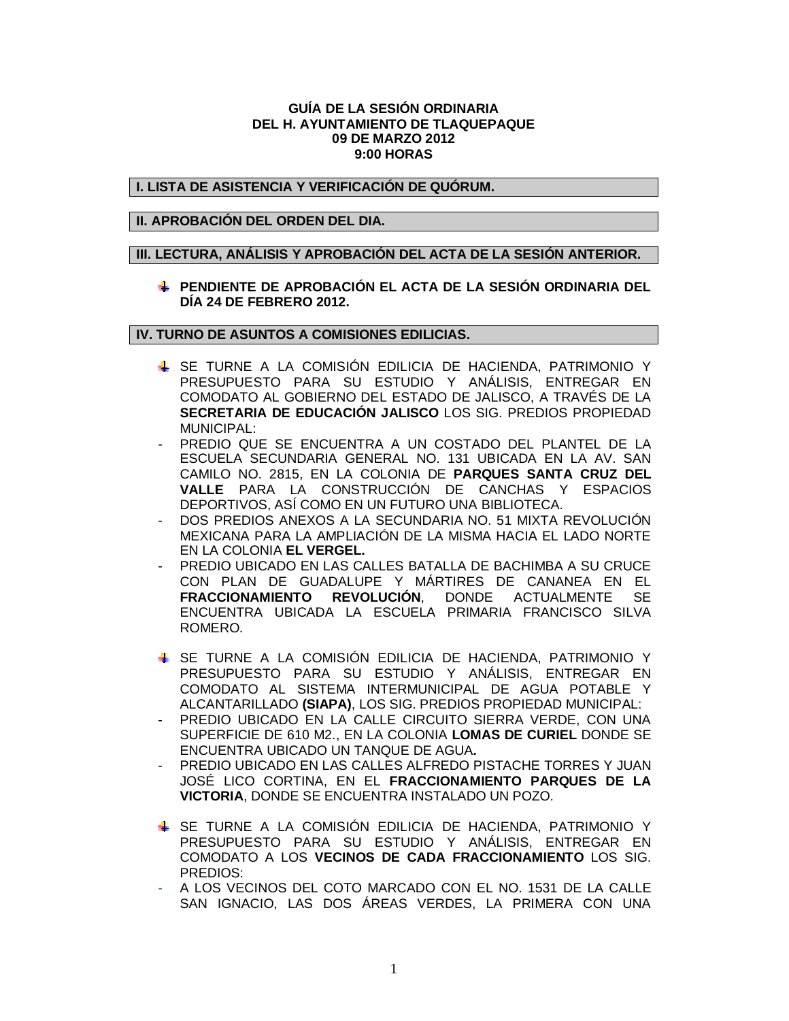#### **GUÍA DE LA SESIÓN ORDINARIA DEL H. AYUNTAMIENTO DE TLAQUEPAQUE 09 DE MARZO 2012 9:00 HORAS**

#### **I. LISTA DE ASISTENCIA Y VERIFICACIÓN DE QUÓRUM.**

## **II. APROBACIÓN DEL ORDEN DEL DIA.**

#### **III. LECTURA, ANÁLISIS Y APROBACIÓN DEL ACTA DE LA SESIÓN ANTERIOR.**

## **PENDIENTE DE APROBACIÓN EL ACTA DE LA SESIÓN ORDINARIA DEL DÍA 24 DE FEBRERO 2012.**

## **IV. TURNO DE ASUNTOS A COMISIONES EDILICIAS.**

- SE TURNE A LA COMISIÓN EDILICIA DE HACIENDA, PATRIMONIO Y PRESUPUESTO PARA SU ESTUDIO Y ANÁLISIS, ENTREGAR EN COMODATO AL GOBIERNO DEL ESTADO DE JALISCO, A TRAVÉS DE LA **SECRETARIA DE EDUCACIÓN JALISCO** LOS SIG. PREDIOS PROPIEDAD MUNICIPAL:
- PREDIO QUE SE ENCUENTRA A UN COSTADO DEL PLANTEL DE LA ESCUELA SECUNDARIA GENERAL NO. 131 UBICADA EN LA AV. SAN CAMILO NO. 2815, EN LA COLONIA DE **PARQUES SANTA CRUZ DEL VALLE** PARA LA CONSTRUCCIÓN DE CANCHAS Y ESPACIOS DEPORTIVOS, ASÍ COMO EN UN FUTURO UNA BIBLIOTECA.
- DOS PREDIOS ANEXOS A LA SECUNDARIA NO. 51 MIXTA REVOLUCIÓN MEXICANA PARA LA AMPLIACIÓN DE LA MISMA HACIA EL LADO NORTE EN LA COLONIA **EL VERGEL.**
- PREDIO UBICADO EN LAS CALLES BATALLA DE BACHIMBA A SU CRUCE CON PLAN DE GUADALUPE Y MÁRTIRES DE CANANEA EN EL **FRACCIONAMIENTO REVOLUCIÓN**, DONDE ACTUALMENTE SE ENCUENTRA UBICADA LA ESCUELA PRIMARIA FRANCISCO SILVA ROMERO.
- SE TURNE A LA COMISIÓN EDILICIA DE HACIENDA, PATRIMONIO Y PRESUPUESTO PARA SU ESTUDIO Y ANÁLISIS, ENTREGAR EN COMODATO AL SISTEMA INTERMUNICIPAL DE AGUA POTABLE Y ALCANTARILLADO **(SIAPA)**, LOS SIG. PREDIOS PROPIEDAD MUNICIPAL:
- PREDIO UBICADO EN LA CALLE CIRCUITO SIERRA VERDE, CON UNA SUPERFICIE DE 610 M2., EN LA COLONIA **LOMAS DE CURIEL** DONDE SE ENCUENTRA UBICADO UN TANQUE DE AGUA**.**
- PREDIO UBICADO EN LAS CALLES ALFREDO PISTACHE TORRES Y JUAN JOSÉ LICO CORTINA, EN EL **FRACCIONAMIENTO PARQUES DE LA VICTORIA**, DONDE SE ENCUENTRA INSTALADO UN POZO.
- SE TURNE A LA COMISIÓN EDILICIA DE HACIENDA, PATRIMONIO Y PRESUPUESTO PARA SU ESTUDIO Y ANÁLISIS, ENTREGAR EN COMODATO A LOS **VECINOS DE CADA FRACCIONAMIENTO** LOS SIG. PREDIOS:
- A LOS VECINOS DEL COTO MARCADO CON EL NO. 1531 DE LA CALLE SAN IGNACIO, LAS DOS ÁREAS VERDES, LA PRIMERA CON UNA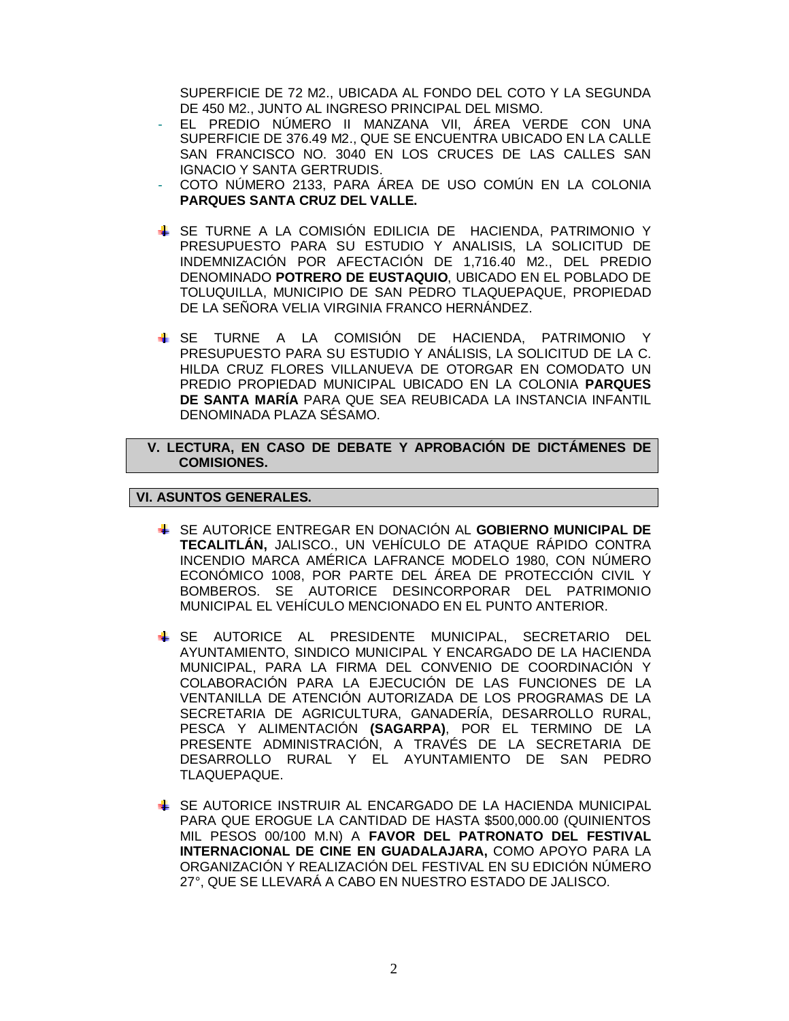SUPERFICIE DE 72 M2., UBICADA AL FONDO DEL COTO Y LA SEGUNDA DE 450 M2., JUNTO AL INGRESO PRINCIPAL DEL MISMO.

- EL PREDIO NÚMERO II MANZANA VII, ÁREA VERDE CON UNA SUPERFICIE DE 376.49 M2., QUE SE ENCUENTRA UBICADO EN LA CALLE SAN FRANCISCO NO. 3040 EN LOS CRUCES DE LAS CALLES SAN IGNACIO Y SANTA GERTRUDIS.
- COTO NÚMERO 2133, PARA ÁREA DE USO COMÚN EN LA COLONIA **PARQUES SANTA CRUZ DEL VALLE.**
- SE TURNE A LA COMISIÓN EDILICIA DE HACIENDA, PATRIMONIO Y PRESUPUESTO PARA SU ESTUDIO Y ANALISIS, LA SOLICITUD DE INDEMNIZACIÓN POR AFECTACIÓN DE 1,716.40 M2., DEL PREDIO DENOMINADO **POTRERO DE EUSTAQUIO**, UBICADO EN EL POBLADO DE TOLUQUILLA, MUNICIPIO DE SAN PEDRO TLAQUEPAQUE, PROPIEDAD DE LA SEÑORA VELIA VIRGINIA FRANCO HERNÁNDEZ.
- SE TURNE A LA COMISIÓN DE HACIENDA, PATRIMONIO Y PRESUPUESTO PARA SU ESTUDIO Y ANÁLISIS, LA SOLICITUD DE LA C. HILDA CRUZ FLORES VILLANUEVA DE OTORGAR EN COMODATO UN PREDIO PROPIEDAD MUNICIPAL UBICADO EN LA COLONIA **PARQUES DE SANTA MARÍA** PARA QUE SEA REUBICADA LA INSTANCIA INFANTIL DENOMINADA PLAZA SÉSAMO.

# **V. LECTURA, EN CASO DE DEBATE Y APROBACIÓN DE DICTÁMENES DE COMISIONES.**

# **VI. ASUNTOS GENERALES.**

- SE AUTORICE ENTREGAR EN DONACIÓN AL **GOBIERNO MUNICIPAL DE TECALITLÁN,** JALISCO., UN VEHÍCULO DE ATAQUE RÁPIDO CONTRA INCENDIO MARCA AMÉRICA LAFRANCE MODELO 1980, CON NÚMERO ECONÓMICO 1008, POR PARTE DEL ÁREA DE PROTECCIÓN CIVIL Y BOMBEROS. SE AUTORICE DESINCORPORAR DEL PATRIMONIO MUNICIPAL EL VEHÍCULO MENCIONADO EN EL PUNTO ANTERIOR.
- SE AUTORICE AL PRESIDENTE MUNICIPAL, SECRETARIO DEL AYUNTAMIENTO, SINDICO MUNICIPAL Y ENCARGADO DE LA HACIENDA MUNICIPAL, PARA LA FIRMA DEL CONVENIO DE COORDINACIÓN Y COLABORACIÓN PARA LA EJECUCIÓN DE LAS FUNCIONES DE LA VENTANILLA DE ATENCIÓN AUTORIZADA DE LOS PROGRAMAS DE LA SECRETARIA DE AGRICULTURA, GANADERÍA, DESARROLLO RURAL, PESCA Y ALIMENTACIÓN **(SAGARPA)**, POR EL TERMINO DE LA PRESENTE ADMINISTRACIÓN, A TRAVÉS DE LA SECRETARIA DE DESARROLLO RURAL Y EL AYUNTAMIENTO DE SAN PEDRO TLAQUEPAQUE.
- SE AUTORICE INSTRUIR AL ENCARGADO DE LA HACIENDA MUNICIPAL PARA QUE EROGUE LA CANTIDAD DE HASTA \$500,000.00 (QUINIENTOS MIL PESOS 00/100 M.N) A **FAVOR DEL PATRONATO DEL FESTIVAL INTERNACIONAL DE CINE EN GUADALAJARA,** COMO APOYO PARA LA ORGANIZACIÓN Y REALIZACIÓN DEL FESTIVAL EN SU EDICIÓN NÚMERO 27°, QUE SE LLEVARÁ A CABO EN NUESTRO ESTADO DE JALISCO.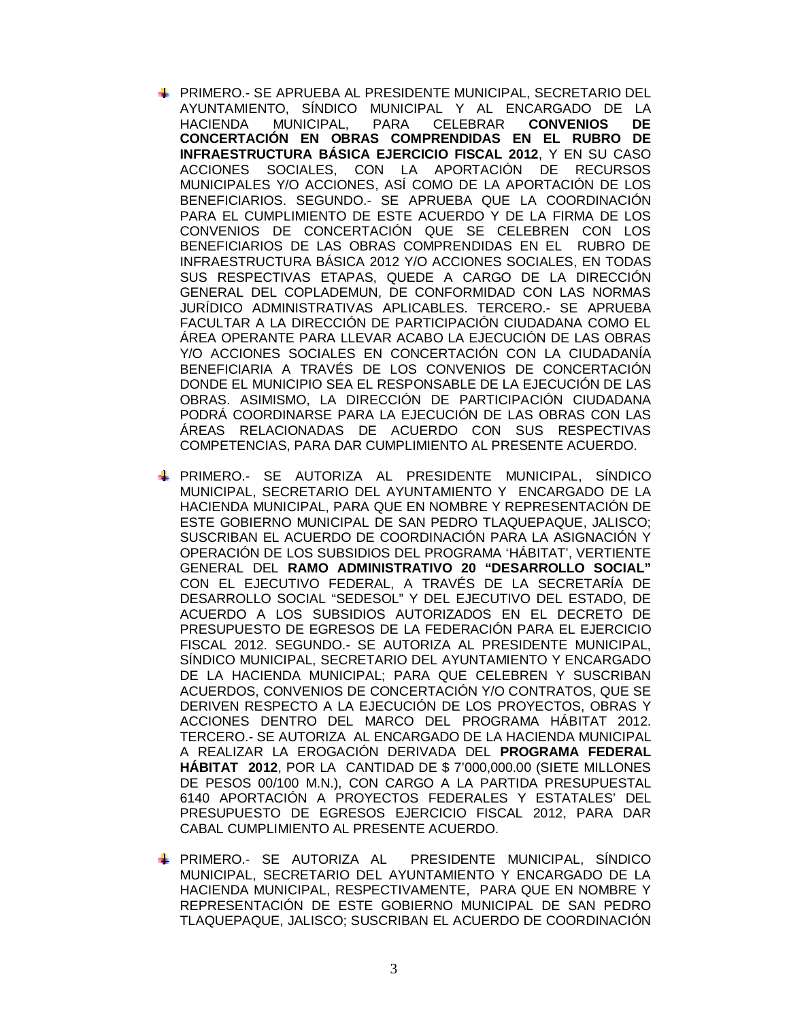- PRIMERO.- SE APRUEBA AL PRESIDENTE MUNICIPAL, SECRETARIO DEL AYUNTAMIENTO, SÍNDICO MUNICIPAL Y AL ENCARGADO DE LA HACIENDA MUNICIPAL, PARA CELEBRAR **CONVENIOS DE CONCERTACIÓN EN OBRAS COMPRENDIDAS EN EL RUBRO DE INFRAESTRUCTURA BÁSICA EJERCICIO FISCAL 2012**, Y EN SU CASO ACCIONES SOCIALES, CON LA APORTACIÓN DE RECURSOS MUNICIPALES Y/O ACCIONES, ASÍ COMO DE LA APORTACIÓN DE LOS BENEFICIARIOS. SEGUNDO.- SE APRUEBA QUE LA COORDINACIÓN PARA EL CUMPLIMIENTO DE ESTE ACUERDO Y DE LA FIRMA DE LOS CONVENIOS DE CONCERTACIÓN QUE SE CELEBREN CON LOS BENEFICIARIOS DE LAS OBRAS COMPRENDIDAS EN EL RUBRO DE INFRAESTRUCTURA BÁSICA 2012 Y/O ACCIONES SOCIALES, EN TODAS SUS RESPECTIVAS ETAPAS, QUEDE A CARGO DE LA DIRECCIÓN GENERAL DEL COPLADEMUN, DE CONFORMIDAD CON LAS NORMAS JURÍDICO ADMINISTRATIVAS APLICABLES. TERCERO.- SE APRUEBA FACULTAR A LA DIRECCIÓN DE PARTICIPACIÓN CIUDADANA COMO EL ÁREA OPERANTE PARA LLEVAR ACABO LA EJECUCIÓN DE LAS OBRAS Y/O ACCIONES SOCIALES EN CONCERTACIÓN CON LA CIUDADANÍA BENEFICIARIA A TRAVÉS DE LOS CONVENIOS DE CONCERTACIÓN DONDE EL MUNICIPIO SEA EL RESPONSABLE DE LA EJECUCIÓN DE LAS OBRAS. ASIMISMO, LA DIRECCIÓN DE PARTICIPACIÓN CIUDADANA PODRÁ COORDINARSE PARA LA EJECUCIÓN DE LAS OBRAS CON LAS ÁREAS RELACIONADAS DE ACUERDO CON SUS RESPECTIVAS COMPETENCIAS, PARA DAR CUMPLIMIENTO AL PRESENTE ACUERDO.
- PRIMERO.- SE AUTORIZA AL PRESIDENTE MUNICIPAL, SÍNDICO MUNICIPAL, SECRETARIO DEL AYUNTAMIENTO Y ENCARGADO DE LA HACIENDA MUNICIPAL, PARA QUE EN NOMBRE Y REPRESENTACIÓN DE ESTE GOBIERNO MUNICIPAL DE SAN PEDRO TLAQUEPAQUE, JALISCO; SUSCRIBAN EL ACUERDO DE COORDINACIÓN PARA LA ASIGNACIÓN Y OPERACIÓN DE LOS SUBSIDIOS DEL PROGRAMA 'HÁBITAT', VERTIENTE GENERAL DEL **RAMO ADMINISTRATIVO 20 "DESARROLLO SOCIAL"** CON EL EJECUTIVO FEDERAL, A TRAVÉS DE LA SECRETARÍA DE DESARROLLO SOCIAL "SEDESOL" Y DEL EJECUTIVO DEL ESTADO, DE ACUERDO A LOS SUBSIDIOS AUTORIZADOS EN EL DECRETO DE PRESUPUESTO DE EGRESOS DE LA FEDERACIÓN PARA EL EJERCICIO FISCAL 2012. SEGUNDO.- SE AUTORIZA AL PRESIDENTE MUNICIPAL, SÍNDICO MUNICIPAL, SECRETARIO DEL AYUNTAMIENTO Y ENCARGADO DE LA HACIENDA MUNICIPAL; PARA QUE CELEBREN Y SUSCRIBAN ACUERDOS, CONVENIOS DE CONCERTACIÓN Y/O CONTRATOS, QUE SE DERIVEN RESPECTO A LA EJECUCIÓN DE LOS PROYECTOS, OBRAS Y ACCIONES DENTRO DEL MARCO DEL PROGRAMA HÁBITAT 2012. TERCERO.- SE AUTORIZA AL ENCARGADO DE LA HACIENDA MUNICIPAL A REALIZAR LA EROGACIÓN DERIVADA DEL **PROGRAMA FEDERAL HÁBITAT 2012**, POR LA CANTIDAD DE \$ 7'000,000.00 (SIETE MILLONES DE PESOS 00/100 M.N.), CON CARGO A LA PARTIDA PRESUPUESTAL 6140 APORTACIÓN A PROYECTOS FEDERALES Y ESTATALES' DEL PRESUPUESTO DE EGRESOS EJERCICIO FISCAL 2012, PARA DAR CABAL CUMPLIMIENTO AL PRESENTE ACUERDO.
- PRIMERO.- SE AUTORIZA AL PRESIDENTE MUNICIPAL, SÍNDICO MUNICIPAL, SECRETARIO DEL AYUNTAMIENTO Y ENCARGADO DE LA HACIENDA MUNICIPAL, RESPECTIVAMENTE, PARA QUE EN NOMBRE Y REPRESENTACIÓN DE ESTE GOBIERNO MUNICIPAL DE SAN PEDRO TLAQUEPAQUE, JALISCO; SUSCRIBAN EL ACUERDO DE COORDINACIÓN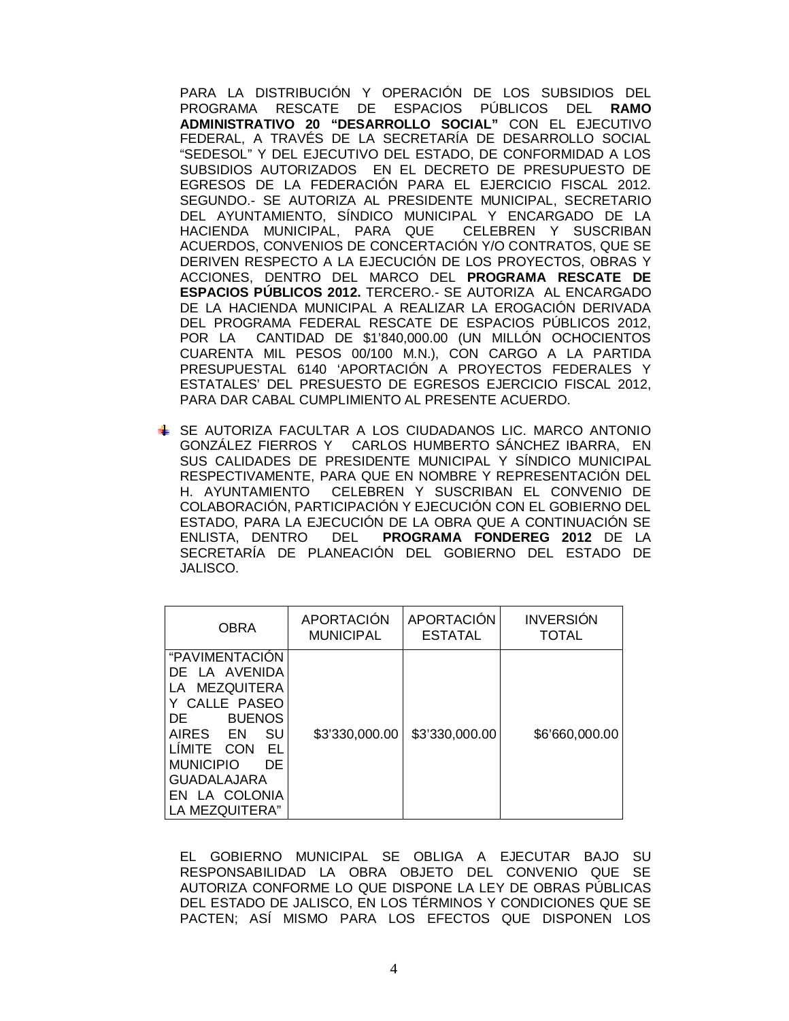PARA LA DISTRIBUCIÓN Y OPERACIÓN DE LOS SUBSIDIOS DEL PROGRAMA RESCATE DE ESPACIOS PÚBLICOS DEL **RAMO ADMINISTRATIVO 20 "DESARROLLO SOCIAL"** CON EL EJECUTIVO FEDERAL, A TRAVÉS DE LA SECRETARÍA DE DESARROLLO SOCIAL "SEDESOL" Y DEL EJECUTIVO DEL ESTADO, DE CONFORMIDAD A LOS SUBSIDIOS AUTORIZADOS EN EL DECRETO DE PRESUPUESTO DE EGRESOS DE LA FEDERACIÓN PARA EL EJERCICIO FISCAL 2012. SEGUNDO.- SE AUTORIZA AL PRESIDENTE MUNICIPAL, SECRETARIO DEL AYUNTAMIENTO, SÍNDICO MUNICIPAL Y ENCARGADO DE LA HACIENDA MUNICIPAL, PARA QUE CELEBREN Y SUSCRIBAN ACUERDOS, CONVENIOS DE CONCERTACIÓN Y/O CONTRATOS, QUE SE DERIVEN RESPECTO A LA EJECUCIÓN DE LOS PROYECTOS, OBRAS Y ACCIONES, DENTRO DEL MARCO DEL **PROGRAMA RESCATE DE ESPACIOS PÚBLICOS 2012.** TERCERO.- SE AUTORIZA AL ENCARGADO DE LA HACIENDA MUNICIPAL A REALIZAR LA EROGACIÓN DERIVADA DEL PROGRAMA FEDERAL RESCATE DE ESPACIOS PÚBLICOS 2012, POR LA CANTIDAD DE \$1'840,000.00 (UN MILLÓN OCHOCIENTOS CUARENTA MIL PESOS 00/100 M.N.), CON CARGO A LA PARTIDA PRESUPUESTAL 6140 'APORTACIÓN A PROYECTOS FEDERALES Y ESTATALES' DEL PRESUESTO DE EGRESOS EJERCICIO FISCAL 2012, PARA DAR CABAL CUMPLIMIENTO AL PRESENTE ACUERDO.

SE AUTORIZA FACULTAR A LOS CIUDADANOS LIC. MARCO ANTONIO GONZÁLEZ FIERROS Y CARLOS HUMBERTO SÁNCHEZ IBARRA, EN SUS CALIDADES DE PRESIDENTE MUNICIPAL Y SÍNDICO MUNICIPAL RESPECTIVAMENTE, PARA QUE EN NOMBRE Y REPRESENTACIÓN DEL H. AYUNTAMIENTO CELEBREN Y SUSCRIBAN EL CONVENIO DE COLABORACIÓN, PARTICIPACIÓN Y EJECUCIÓN CON EL GOBIERNO DEL ESTADO, PARA LA EJECUCIÓN DE LA OBRA QUE A CONTINUACIÓN SE ENLISTA, DENTRO DEL **PROGRAMA FONDEREG 2012** DE LA SECRETARÍA DE PLANEACIÓN DEL GOBIERNO DEL ESTADO DE JALISCO.

| <b>OBRA</b>                                                                                                                                                                                                                                          | <b>APORTACIÓN</b> | <b>APORTACIÓN</b> | <b>INVERSIÓN</b> |
|------------------------------------------------------------------------------------------------------------------------------------------------------------------------------------------------------------------------------------------------------|-------------------|-------------------|------------------|
|                                                                                                                                                                                                                                                      | <b>MUNICIPAL</b>  | <b>ESTATAL</b>    | <b>TOTAL</b>     |
| "PAVIMENTACION<br>DE LA AVENIDA<br><b>MEZQUITERA</b><br>LA<br>CALLE PASEO<br><b>BUENOS</b><br>DE<br><b>AIRES</b><br>SU<br>– EN<br><b>LIMITE</b><br>EL<br>CON<br>DE.<br><b>MUNICIPIO</b><br><b>GUADALAJARA</b><br>LA COLONIA<br>FN.<br>LA MEZQUITERA" | \$3'330,000.00    | \$3'330,000.00    | \$6'660,000.00   |

EL GOBIERNO MUNICIPAL SE OBLIGA A EJECUTAR BAJO SU RESPONSABILIDAD LA OBRA OBJETO DEL CONVENIO QUE SE AUTORIZA CONFORME LO QUE DISPONE LA LEY DE OBRAS PÚBLICAS DEL ESTADO DE JALISCO, EN LOS TÉRMINOS Y CONDICIONES QUE SE PACTEN; ASÍ MISMO PARA LOS EFECTOS QUE DISPONEN LOS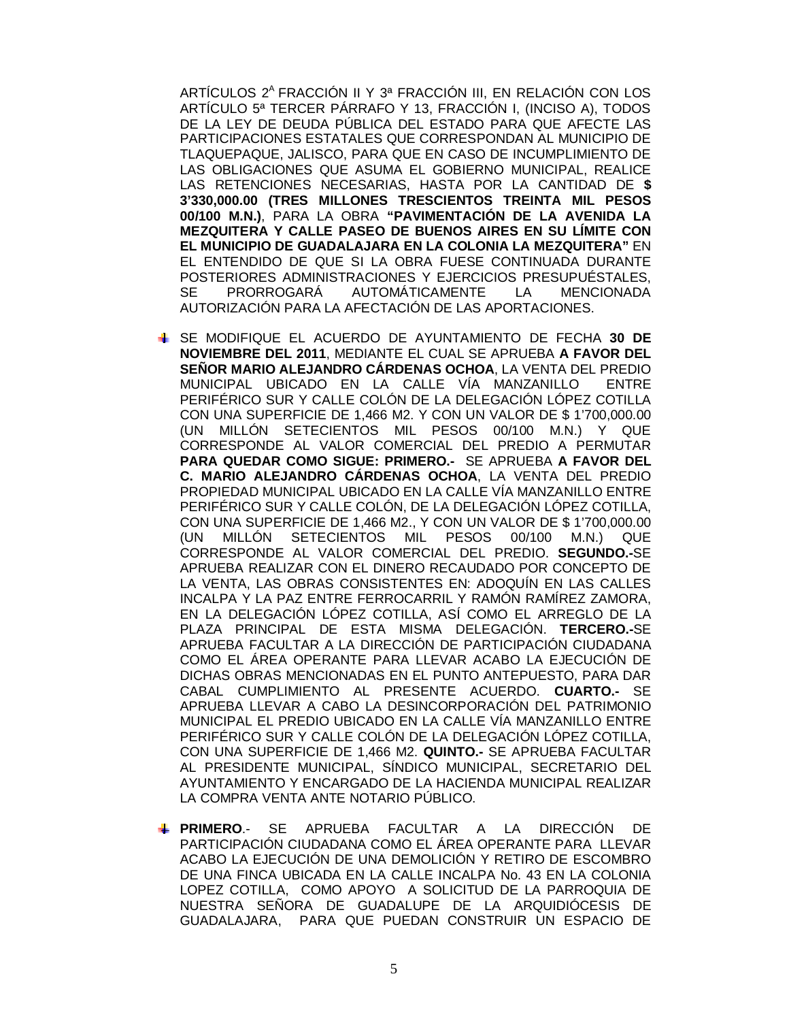ARTÍCULOS 2<sup>A</sup> FRACCIÓN II Y 3ª FRACCIÓN III, EN RELACIÓN CON LOS ARTÍCULO 5ª TERCER PÁRRAFO Y 13, FRACCIÓN I, (INCISO A), TODOS DE LA LEY DE DEUDA PÚBLICA DEL ESTADO PARA QUE AFECTE LAS PARTICIPACIONES ESTATALES QUE CORRESPONDAN AL MUNICIPIO DE TLAQUEPAQUE, JALISCO, PARA QUE EN CASO DE INCUMPLIMIENTO DE LAS OBLIGACIONES QUE ASUMA EL GOBIERNO MUNICIPAL, REALICE LAS RETENCIONES NECESARIAS, HASTA POR LA CANTIDAD DE **\$ 3'330,000.00 (TRES MILLONES TRESCIENTOS TREINTA MIL PESOS 00/100 M.N.)**, PARA LA OBRA **"PAVIMENTACIÓN DE LA AVENIDA LA MEZQUITERA Y CALLE PASEO DE BUENOS AIRES EN SU LÍMITE CON EL MUNICIPIO DE GUADALAJARA EN LA COLONIA LA MEZQUITERA"** EN EL ENTENDIDO DE QUE SI LA OBRA FUESE CONTINUADA DURANTE POSTERIORES ADMINISTRACIONES Y EJERCICIOS PRESUPUÉSTALES, SE PRORROGARÁ AUTOMÁTICAMENTE LA MENCIONADA AUTORIZACIÓN PARA LA AFECTACIÓN DE LAS APORTACIONES.

- SE MODIFIQUE EL ACUERDO DE AYUNTAMIENTO DE FECHA **30 DE NOVIEMBRE DEL 2011**, MEDIANTE EL CUAL SE APRUEBA **A FAVOR DEL SEÑOR MARIO ALEJANDRO CÁRDENAS OCHOA**, LA VENTA DEL PREDIO MUNICIPAL UBICADO EN LA CALLE VÍA MANZANILLO ENTRE PERIFÉRICO SUR Y CALLE COLÓN DE LA DELEGACIÓN LÓPEZ COTILLA CON UNA SUPERFICIE DE 1,466 M2. Y CON UN VALOR DE \$ 1'700,000.00 (UN MILLÓN SETECIENTOS MIL PESOS 00/100 M.N.) Y QUE CORRESPONDE AL VALOR COMERCIAL DEL PREDIO A PERMUTAR **PARA QUEDAR COMO SIGUE: PRIMERO.-** SE APRUEBA **A FAVOR DEL C. MARIO ALEJANDRO CÁRDENAS OCHOA**, LA VENTA DEL PREDIO PROPIEDAD MUNICIPAL UBICADO EN LA CALLE VÍA MANZANILLO ENTRE PERIFÉRICO SUR Y CALLE COLÓN, DE LA DELEGACIÓN LÓPEZ COTILLA, CON UNA SUPERFICIE DE 1,466 M2., Y CON UN VALOR DE \$ 1'700,000.00 (UN MILLÓN SETECIENTOS MIL PESOS 00/100 M.N.) QUE CORRESPONDE AL VALOR COMERCIAL DEL PREDIO. **SEGUNDO.-**SE APRUEBA REALIZAR CON EL DINERO RECAUDADO POR CONCEPTO DE LA VENTA, LAS OBRAS CONSISTENTES EN: ADOQUÍN EN LAS CALLES INCALPA Y LA PAZ ENTRE FERROCARRIL Y RAMÓN RAMÍREZ ZAMORA, EN LA DELEGACIÓN LÓPEZ COTILLA, ASÍ COMO EL ARREGLO DE LA PLAZA PRINCIPAL DE ESTA MISMA DELEGACIÓN. **TERCERO.-**SE APRUEBA FACULTAR A LA DIRECCIÓN DE PARTICIPACIÓN CIUDADANA COMO EL ÁREA OPERANTE PARA LLEVAR ACABO LA EJECUCIÓN DE DICHAS OBRAS MENCIONADAS EN EL PUNTO ANTEPUESTO, PARA DAR CABAL CUMPLIMIENTO AL PRESENTE ACUERDO. **CUARTO.-** SE APRUEBA LLEVAR A CABO LA DESINCORPORACIÓN DEL PATRIMONIO MUNICIPAL EL PREDIO UBICADO EN LA CALLE VÍA MANZANILLO ENTRE PERIFÉRICO SUR Y CALLE COLÓN DE LA DELEGACIÓN LÓPEZ COTILLA, CON UNA SUPERFICIE DE 1,466 M2. **QUINTO.-** SE APRUEBA FACULTAR AL PRESIDENTE MUNICIPAL, SÍNDICO MUNICIPAL, SECRETARIO DEL AYUNTAMIENTO Y ENCARGADO DE LA HACIENDA MUNICIPAL REALIZAR LA COMPRA VENTA ANTE NOTARIO PÚBLICO.
- **PRIMERO**.- SE APRUEBA FACULTAR A LA DIRECCIÓN DE PARTICIPACIÓN CIUDADANA COMO EL ÁREA OPERANTE PARA LLEVAR ACABO LA EJECUCIÓN DE UNA DEMOLICIÓN Y RETIRO DE ESCOMBRO DE UNA FINCA UBICADA EN LA CALLE INCALPA No. 43 EN LA COLONIA LOPEZ COTILLA, COMO APOYO A SOLICITUD DE LA PARROQUIA DE NUESTRA SEÑORA DE GUADALUPE DE LA ARQUIDIÓCESIS DE GUADALAJARA, PARA QUE PUEDAN CONSTRUIR UN ESPACIO DE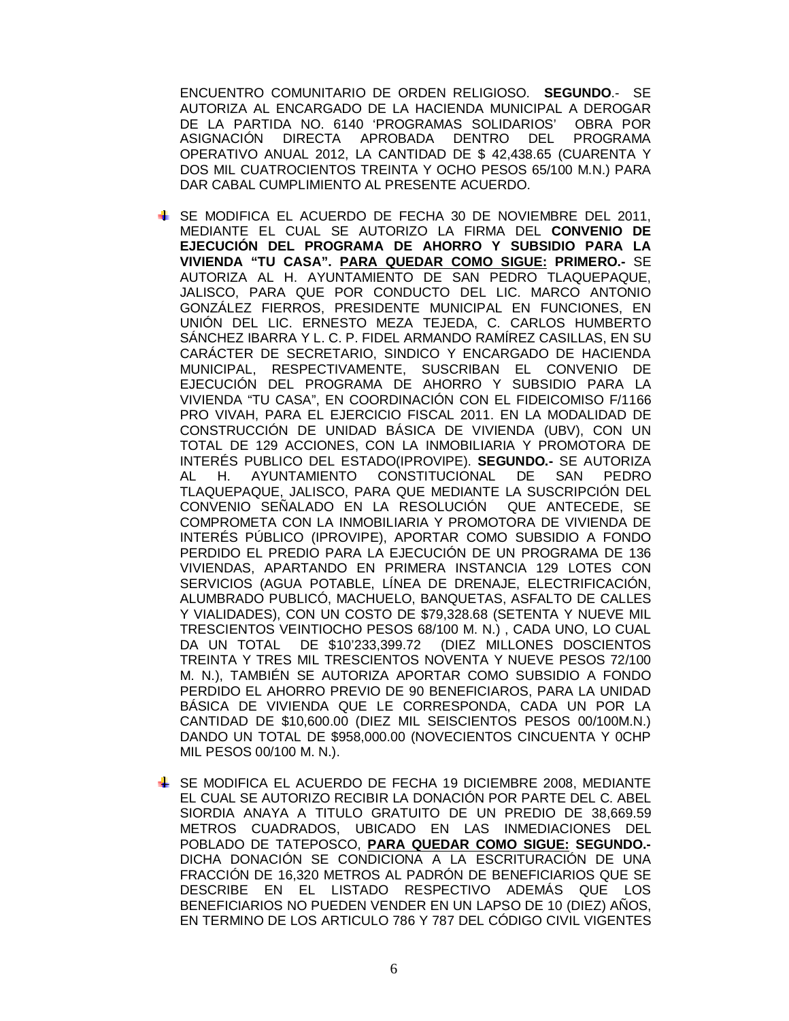ENCUENTRO COMUNITARIO DE ORDEN RELIGIOSO. **SEGUNDO**.- SE AUTORIZA AL ENCARGADO DE LA HACIENDA MUNICIPAL A DEROGAR DE LA PARTIDA NO. 6140 'PROGRAMAS SOLIDARIOS' OBRA POR ASIGNACIÓN DIRECTA APROBADA DENTRO DEL PROGRAMA OPERATIVO ANUAL 2012, LA CANTIDAD DE \$ 42,438.65 (CUARENTA Y DOS MIL CUATROCIENTOS TREINTA Y OCHO PESOS 65/100 M.N.) PARA DAR CABAL CUMPLIMIENTO AL PRESENTE ACUERDO.

- SE MODIFICA EL ACUERDO DE FECHA 30 DE NOVIEMBRE DEL 2011, MEDIANTE EL CUAL SE AUTORIZO LA FIRMA DEL **CONVENIO DE EJECUCIÓN DEL PROGRAMA DE AHORRO Y SUBSIDIO PARA LA VIVIENDA "TU CASA". PARA QUEDAR COMO SIGUE: PRIMERO.-** SE AUTORIZA AL H. AYUNTAMIENTO DE SAN PEDRO TLAQUEPAQUE, JALISCO, PARA QUE POR CONDUCTO DEL LIC. MARCO ANTONIO GONZÁLEZ FIERROS, PRESIDENTE MUNICIPAL EN FUNCIONES, EN UNIÓN DEL LIC. ERNESTO MEZA TEJEDA, C. CARLOS HUMBERTO SÁNCHEZ IBARRA Y L. C. P. FIDEL ARMANDO RAMÍREZ CASILLAS, EN SU CARÁCTER DE SECRETARIO, SINDICO Y ENCARGADO DE HACIENDA MUNICIPAL, RESPECTIVAMENTE, SUSCRIBAN EL CONVENIO DE EJECUCIÓN DEL PROGRAMA DE AHORRO Y SUBSIDIO PARA LA VIVIENDA "TU CASA", EN COORDINACIÓN CON EL FIDEICOMISO F/1166 PRO VIVAH, PARA EL EJERCICIO FISCAL 2011. EN LA MODALIDAD DE CONSTRUCCIÓN DE UNIDAD BÁSICA DE VIVIENDA (UBV), CON UN TOTAL DE 129 ACCIONES, CON LA INMOBILIARIA Y PROMOTORA DE INTERÉS PUBLICO DEL ESTADO(IPROVIPE). **SEGUNDO.-** SE AUTORIZA AL H. AYUNTAMIENTO CONSTITUCIONAL DE SAN PEDRO TLAQUEPAQUE, JALISCO, PARA QUE MEDIANTE LA SUSCRIPCIÓN DEL CONVENIO SENALADO EN LA RESOLUCIÓN QUE ANTECEDE. SE COMPROMETA CON LA INMOBILIARIA Y PROMOTORA DE VIVIENDA DE INTERÉS PÚBLICO (IPROVIPE), APORTAR COMO SUBSIDIO A FONDO PERDIDO EL PREDIO PARA LA EJECUCIÓN DE UN PROGRAMA DE 136 VIVIENDAS, APARTANDO EN PRIMERA INSTANCIA 129 LOTES CON SERVICIOS (AGUA POTABLE, LÍNEA DE DRENAJE, ELECTRIFICACIÓN, ALUMBRADO PUBLICÓ, MACHUELO, BANQUETAS, ASFALTO DE CALLES Y VIALIDADES), CON UN COSTO DE \$79,328.68 (SETENTA Y NUEVE MIL TRESCIENTOS VEINTIOCHO PESOS 68/100 M. N.) , CADA UNO, LO CUAL DA UN TOTAL DE \$10'233,399.72 TREINTA Y TRES MIL TRESCIENTOS NOVENTA Y NUEVE PESOS 72/100 M. N.), TAMBIÉN SE AUTORIZA APORTAR COMO SUBSIDIO A FONDO PERDIDO EL AHORRO PREVIO DE 90 BENEFICIAROS, PARA LA UNIDAD BÁSICA DE VIVIENDA QUE LE CORRESPONDA, CADA UN POR LA CANTIDAD DE \$10,600.00 (DIEZ MIL SEISCIENTOS PESOS 00/100M.N.) DANDO UN TOTAL DE \$958,000.00 (NOVECIENTOS CINCUENTA Y 0CHP MIL PESOS 00/100 M. N.).
- SE MODIFICA EL ACUERDO DE FECHA 19 DICIEMBRE 2008, MEDIANTE EL CUAL SE AUTORIZO RECIBIR LA DONACIÓN POR PARTE DEL C. ABEL SIORDIA ANAYA A TITULO GRATUITO DE UN PREDIO DE 38,669.59 METROS CUADRADOS, UBICADO EN LAS INMEDIACIONES DEL POBLADO DE TATEPOSCO, **PARA QUEDAR COMO SIGUE: SEGUNDO.-** DICHA DONACIÓN SE CONDICIONA A LA ESCRITURACIÓN DE UNA FRACCIÓN DE 16,320 METROS AL PADRÓN DE BENEFICIARIOS QUE SE DESCRIBE EN EL LISTADO RESPECTIVO ADEMÁS QUE LOS BENEFICIARIOS NO PUEDEN VENDER EN UN LAPSO DE 10 (DIEZ) AÑOS, EN TERMINO DE LOS ARTICULO 786 Y 787 DEL CÓDIGO CIVIL VIGENTES